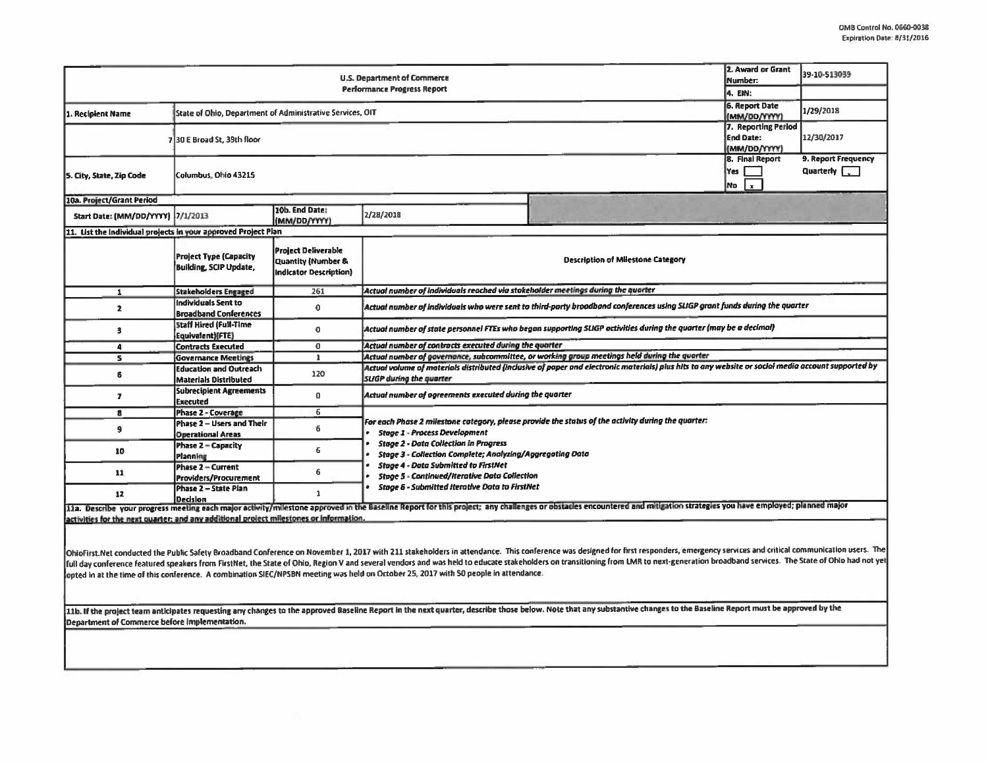| U.S. Department of Commerce                                                            |                                                                |                                                                                   |                                                                                                                                                                                                                                                                                                                                                                                        |                                          | 2. Award or Grant<br>39-10-513039<br>Number:            |            |  |  |  |
|----------------------------------------------------------------------------------------|----------------------------------------------------------------|-----------------------------------------------------------------------------------|----------------------------------------------------------------------------------------------------------------------------------------------------------------------------------------------------------------------------------------------------------------------------------------------------------------------------------------------------------------------------------------|------------------------------------------|---------------------------------------------------------|------------|--|--|--|
| <b>Performance Progress Report</b>                                                     |                                                                |                                                                                   |                                                                                                                                                                                                                                                                                                                                                                                        |                                          |                                                         |            |  |  |  |
| 1. Recipient Name                                                                      | State of Ohio, Department of Administrative Services, OIT      | <b>6. Report Date</b><br>(MM/DD/YYYY)                                             | 1/29/2018                                                                                                                                                                                                                                                                                                                                                                              |                                          |                                                         |            |  |  |  |
|                                                                                        | 730 E Broad St, 39th floor                                     |                                                                                   |                                                                                                                                                                                                                                                                                                                                                                                        |                                          | 7. Reporting Period<br><b>End Date:</b><br>(MM/DD/YYYY) | 12/30/2017 |  |  |  |
| 5. City, State, Zip Code                                                               | Columbus, Ohio 43215                                           | <b>8. Final Report</b><br>Yes<br>No<br>l.x.                                       | 9. Report Frequency<br>Quarterly [.                                                                                                                                                                                                                                                                                                                                                    |                                          |                                                         |            |  |  |  |
| 10a. Project/Grant Period                                                              |                                                                |                                                                                   |                                                                                                                                                                                                                                                                                                                                                                                        |                                          |                                                         |            |  |  |  |
| Start Date: (MM/DD/YYYY) 7/1/2013                                                      |                                                                | 10b. End Date:<br>(MM/DD/YYYY)                                                    | 2/28/2018                                                                                                                                                                                                                                                                                                                                                                              |                                          |                                                         |            |  |  |  |
|                                                                                        | List the individual projects in your approved Project Plan     |                                                                                   |                                                                                                                                                                                                                                                                                                                                                                                        |                                          |                                                         |            |  |  |  |
|                                                                                        | <b>Project Type (Capacity</b><br><b>Building, SCIP Update,</b> | <b>Project Deliverable</b><br>Quantity (Number &<br><b>Indicator Description)</b> |                                                                                                                                                                                                                                                                                                                                                                                        | <b>Description of Milestone Category</b> |                                                         |            |  |  |  |
| $\mathbf{1}$                                                                           | <b>Stakeholders Engaged</b>                                    | 261                                                                               | Actual number of individuals reached via stakeholder meetings during the quarter                                                                                                                                                                                                                                                                                                       |                                          |                                                         |            |  |  |  |
| 2                                                                                      | <b>Individuals Sent to</b><br><b>Broadband Conferences</b>     | $\mathbf 0$                                                                       | Actual number of individuals who were sent to third-party broadband conferences using SLIGP grant funds during the quarter                                                                                                                                                                                                                                                             |                                          |                                                         |            |  |  |  |
| 3                                                                                      | <b>Staff Hired (Full-Time</b><br>Equivalent)(FTE)              | 0                                                                                 | Actual number of state personnel FTEs who began supporting SLIGP activities during the quarter (may be a decimal)                                                                                                                                                                                                                                                                      |                                          |                                                         |            |  |  |  |
| 4                                                                                      | <b>Contracts Executed</b>                                      | $\overline{0}$                                                                    | Actual number of contracts executed during the quarter                                                                                                                                                                                                                                                                                                                                 |                                          |                                                         |            |  |  |  |
| 5                                                                                      | <b>Governance Meetings</b>                                     | 1                                                                                 | Actual number of governance, subcommittee, or working group meetings held during the quarter                                                                                                                                                                                                                                                                                           |                                          |                                                         |            |  |  |  |
| 6                                                                                      | <b>Education and Outreach</b><br><b>Materials Distributed</b>  | 120                                                                               | Actual volume of materials distributed (inclusive of paper and electronic materials) plus hits to any website or social media account supported by<br><b>SLIGP</b> during the quarter                                                                                                                                                                                                  |                                          |                                                         |            |  |  |  |
| $\overline{\mathbf{z}}$                                                                | Subrecipient Agreements<br><b>Executed</b>                     | 0                                                                                 | Actual number of agreements executed during the quarter                                                                                                                                                                                                                                                                                                                                |                                          |                                                         |            |  |  |  |
| 8                                                                                      | Phase 2 - Coverage                                             | 6                                                                                 | For each Phase 2 milestone category, please provide the status of the activity during the quarter:<br><b>Stage 1 - Process Development</b>                                                                                                                                                                                                                                             |                                          |                                                         |            |  |  |  |
| 9                                                                                      | Phase 2 - Users and Their<br><b>Operational Areas</b>          | 6                                                                                 |                                                                                                                                                                                                                                                                                                                                                                                        |                                          |                                                         |            |  |  |  |
| 10                                                                                     | Phase 2 - Capacity<br>Planning                                 | 6                                                                                 | <b>Stage 2 - Data Collection in Progress</b><br>Stage 3 - Collection Complete; Analyzing/Aggregating Data                                                                                                                                                                                                                                                                              |                                          |                                                         |            |  |  |  |
| 11                                                                                     | Phase 2 - Current<br><b>Providers/Procurement</b>              | 6                                                                                 | <b>Stage 4 - Data Submitted to FirstNet</b><br><b>Stage 5 - Continued/Iterative Data Collection</b><br><b>Stage 6 - Submitted Iterative Data to FirstNet</b><br>11a. Describe your progress meeting each major activity/milestone approved in the Baseline Report for this project; any challenges or obstacles encountered and mitigation strategies you have employed; planned major |                                          |                                                         |            |  |  |  |
| 12                                                                                     | Phase 2 - State Plan<br>Decision                               | $\mathbf{1}$                                                                      |                                                                                                                                                                                                                                                                                                                                                                                        |                                          |                                                         |            |  |  |  |
| activities for the next quarter; and any additional project milestones or information. |                                                                |                                                                                   |                                                                                                                                                                                                                                                                                                                                                                                        |                                          |                                                         |            |  |  |  |

OhioFirst. Net conducted the Public Safety Broadband Conference on November 1, 2017 with 211 stakeholders in attendance. This conference was designed for first responders, emergency services and critical communication user full day conference featured speakers from FirstNet, the State of Ohio, Region V and several vendors and was held to educate stakeholders on transitioning from LMR to next-generation broadband services. The State of Ohio h opted in at the time of this conference. A combination SIEC/NPSBN meeting was held on October 25, 2017 with 50 people in attendance.

11b. If the project team anticipates requesting any changes to the approved Baseline Report in the next quarter, describe those below. Note that any substantive changes to the Baseline Report must be approved by the Department of Commerce before implementation.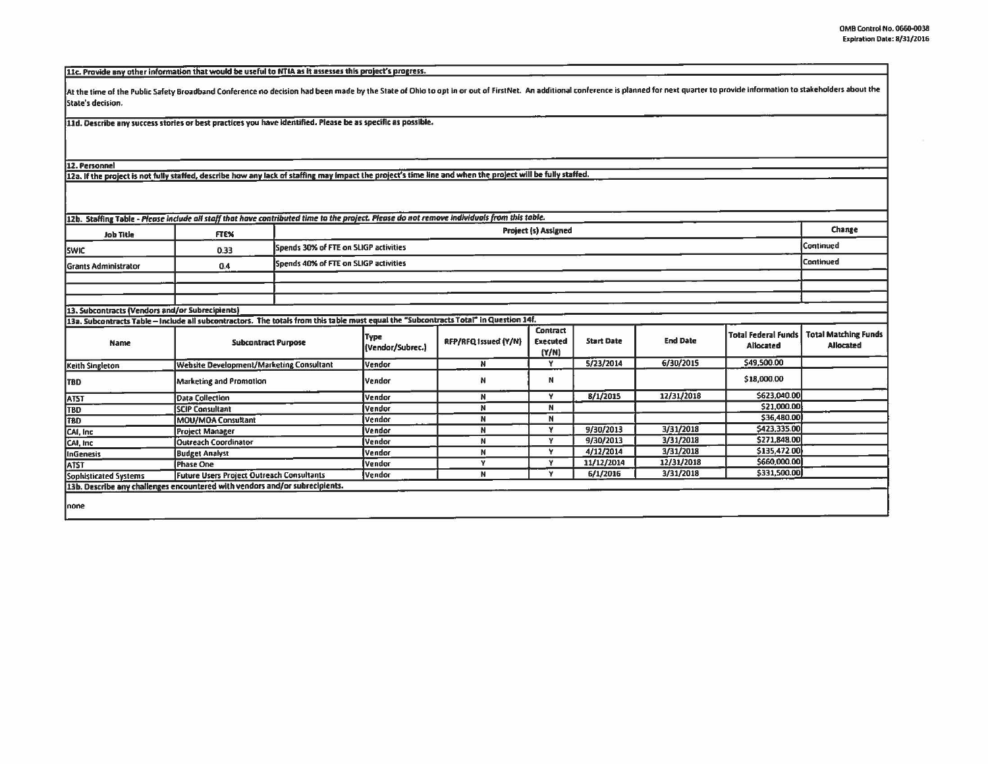11c. Provide any other information that would be useful to NTIA as it assesses this project's progress.

At the time of the Public Safety Broadband Conference no decision had been made by the State of Ohio to opt in or out of FirstNet. An additional conference is planned for next quarter to provide information to stakeholders State's decision.

11d. Describe any success stories or best practices you have identified. Please be as specific as possible.

12. Personnel

12a. If the project is not fully staffed, describe how any lack of staffing may impact the project's time line and when the project will be fully staffed.

| <b>Job Title</b>                                                                                                                      | <b>FTEX</b>                               |  | Project (s) Assigned                  |                      |                                             |                   |                 |                                         |                                                 |
|---------------------------------------------------------------------------------------------------------------------------------------|-------------------------------------------|--|---------------------------------------|----------------------|---------------------------------------------|-------------------|-----------------|-----------------------------------------|-------------------------------------------------|
| <b>SWIC</b>                                                                                                                           | 0.33                                      |  | Spends 30% of FTE on SLIGP activities |                      |                                             |                   |                 |                                         |                                                 |
| <b>Grants Administrator</b>                                                                                                           | 0.4                                       |  | Spends 40% of FTE on SLIGP activities |                      |                                             |                   |                 |                                         | Continued                                       |
|                                                                                                                                       |                                           |  |                                       |                      |                                             |                   |                 |                                         |                                                 |
|                                                                                                                                       |                                           |  |                                       |                      |                                             |                   |                 |                                         |                                                 |
| 13. Subcontracts (Vendors and/or Subrecipients)                                                                                       |                                           |  |                                       |                      |                                             |                   |                 |                                         |                                                 |
| 13a. Subcontracts Table - Include all subcontractors. The totals from this table must equal the "Subcontracts Total" in Question 14f. |                                           |  |                                       |                      |                                             |                   |                 |                                         |                                                 |
| Name                                                                                                                                  | <b>Subcontract Purpose</b>                |  | <b>Type</b><br>(Vendor/Subrec.)       | RFP/RFQ Issued (Y/N) | <b>Contract</b><br><b>Executed</b><br>(Y/N) | <b>Start Date</b> | <b>End Date</b> | <b>Total Federal Funds</b><br>Allocated | <b>Total Matching Funds</b><br><b>Allocated</b> |
| Keith Singleton                                                                                                                       | Website Development/Marketing Consultant  |  | Vendor                                | N                    | Y                                           | 5/23/2014         | 6/30/2015       | \$49,500.00                             |                                                 |
| <b>TBD</b>                                                                                                                            | <b>Marketing and Promotion</b>            |  | Vendor                                | N                    | N                                           |                   |                 | \$18,000.00                             |                                                 |
| <b>ATST</b>                                                                                                                           | <b>Data Collection</b>                    |  | Vendor                                | N                    | v                                           | 8/1/2015          | 12/31/2018      | \$623,040.00                            |                                                 |
| TBD                                                                                                                                   | <b>SCIP Consultant</b>                    |  | Vendor                                | N                    | N                                           |                   |                 | \$21,000.00                             |                                                 |
| TBD                                                                                                                                   | MOU/MOA Consultant                        |  | Vendor                                | N                    | N                                           |                   |                 | \$36,480.00                             |                                                 |
| CAI, Inc.                                                                                                                             | <b>Project Manager</b>                    |  | lVendor                               | N                    | v                                           | 9/30/2013         | 3/31/2018       | \$423,335.00                            |                                                 |
| CAI, Inc.                                                                                                                             | <b>Outreach Coordinator</b>               |  | <b>Vendor</b>                         | N                    | v                                           | 9/30/2013         | 3/31/2018       | \$271,848.00                            |                                                 |
| InGenesis                                                                                                                             | <b>Budget Analyst</b>                     |  | Vendor                                | N                    | Y                                           | 4/12/2014         | 3/31/2018       | \$135,472.00                            |                                                 |
| <b>ATST</b>                                                                                                                           | <b>IPhase One</b>                         |  | <b>Vendor</b>                         | v                    | Y                                           | 11/12/2014        | 12/31/2018      | \$660,000.00                            |                                                 |
| Sophisticated Systems                                                                                                                 | Future Users Project Outreach Consultants |  | <b>Vendor</b>                         | N                    | v                                           | 6/1/2016          | 3/31/2018       | \$331,500.00                            |                                                 |
| 13b. Describe any challenges encountered with vendors and/or subrecipients.                                                           |                                           |  |                                       |                      |                                             |                   |                 |                                         |                                                 |
|                                                                                                                                       |                                           |  |                                       |                      |                                             |                   |                 |                                         |                                                 |
| Inone                                                                                                                                 |                                           |  |                                       |                      |                                             |                   |                 |                                         |                                                 |